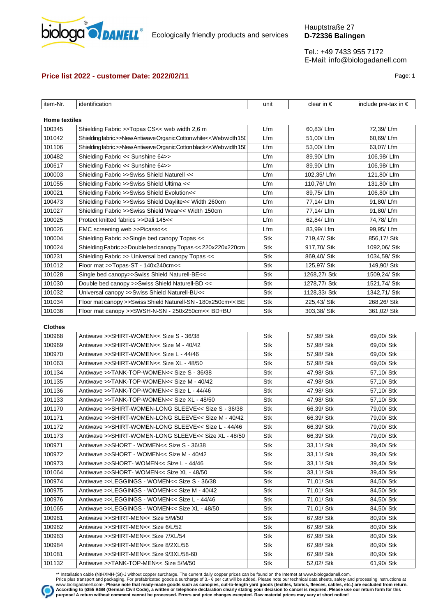

Ecologically friendly products and services

Tel.: +49 7433 955 7172 E-Mail: info@biologadanell.com

# **Price list 2022 - customer Date: 2022/02/11 Page: 1 Page: 1 Page: 1**

| item-Nr.<br>identification                                                   | unit | clear in $\epsilon$ | include pre-tax in $∈$ |
|------------------------------------------------------------------------------|------|---------------------|------------------------|
| <b>Home textiles</b>                                                         |      |                     |                        |
| 100345<br>Shielding Fabric >>Topas CS<< web width 2,6 m                      | Lfm  | 60,83/Lfm           | 72,39/Lfm              |
| 101042<br>Shieldingfabric>>New Antiwave Organic Cotton white<< Web width 150 | Lfm  | 51,00/Lfm           | 60,69/Lfm              |
| 101106<br>Shieldingfabric>>New Antiwave Organic Cotton black<< Web width 150 | Lfm  | 53,00/Lfm           | 63,07/Lfm              |
| 100482<br>Shielding Fabric << Sunshine 64>>                                  | Lfm  | 89,90/Lfm           | 106,98/Lfm             |
| 100617<br>Shielding Fabric << Sunshine 64>>                                  | Lfm  | 89,90/Lfm           | 106,98/Lfm             |
| 100003<br>Shielding Fabric >>Swiss Shield Naturell <<                        | Lfm  | 102,35/Lfm          | 121,80/Lfm             |
| 101055<br>Shielding Fabric >>Swiss Shield Ultima <<                          | Lfm  | 110,76/Lfm          | 131,80/Lfm             |
| 100021<br>Shielding Fabric >>Swiss Shield Evolution<<                        | Lfm  | 89,75/Lfm           | 106,80/Lfm             |
| 100473<br>Shielding Fabric >>Swiss Shield Daylite<< Width 260cm              | Lfm  | 77,14/Lfm           | 91,80/Lfm              |
| 101027<br>Shielding Fabric >>Swiss Shield Wear<< Width 150cm                 | Lfm  | 77,14/Lfm           | 91,80/Lfm              |
| 100025<br>Protect knitted fabrics >>Dali 145<<                               | Lfm  | 62,84/Lfm           | 74,78/Lfm              |
| 100026<br>EMC screening web >>Picasso<<                                      | Lfm  | 83,99/Lfm           | 99,95/Lfm              |
| 100004                                                                       | Stk  | 719,47/ Stk         | 856,17/ Stk            |
| Shielding Fabric >>Single bed canopy Topas <<<br>100024                      | Stk  | 917,70/ Stk         | 1092,06/ Stk           |
| Shielding Fabric >>Double bed canopy Topas << 220x220x220cm                  |      |                     |                        |
| 100231<br>Shielding Fabric >> Universal bed canopy Topas <<                  | Stk  | 869,40/ Stk         | 1034,59/ Stk           |
| 101012<br>Floor mat >>Topas-ST - 140x240cm<<                                 | Stk  | 125,97/ Stk         | 149,90/ Stk            |
| 101028<br>Single bed canopy>>Swiss Shield Naturell-BE<<                      | Stk  | 1268,27/ Stk        | 1509,24/ Stk           |
| 101030<br>Double bed canopy >>Swiss Shield Naturell-BD <<                    | Stk  | 1278,77/ Stk        | 1521,74/ Stk           |
| 101032<br>Universal canopy >>Swiss Shield Naturell-BU<<                      | Stk  | 1128,33/ Stk        | 1342,71/ Stk           |
| 101034<br>Floor mat canopy >>Swiss Shield Naturell-SN - 180x250cm<< BE       | Stk  | 225,43/ Stk         | 268,26/ Stk            |
| 101036<br>Floor mat canopy >>SWSH-N-SN - 250x250cm<< BD+BU                   | Stk  | 303,38/ Stk         | 361,02/ Stk            |
| <b>Clothes</b>                                                               |      |                     |                        |
| 100968<br>Antiwave >>SHIRT-WOMEN<< Size S - 36/38                            | Stk  | 57,98/ Stk          | 69,00/ Stk             |
| 100969<br>Antiwave >>SHIRT-WOMEN<< Size M - 40/42                            | Stk  | 57,98/ Stk          | 69,00/ Stk             |
| 100970<br>Antiwave >>SHIRT-WOMEN<< Size L - 44/46                            | Stk  | 57,98/ Stk          | 69,00/ Stk             |
| 101063<br>Antiwave >>SHIRT-WOMEN<< Size XL - 48/50                           | Stk  | 57,98/ Stk          | 69,00/ Stk             |
| 101134<br>Antiwave >>TANK-TOP-WOMEN<< Size S - 36/38                         | Stk  | 47,98/ Stk          | 57,10/ Stk             |
| 101135<br>Antiwave >>TANK-TOP-WOMEN<< Size M - 40/42                         | Stk  | 47,98/ Stk          | 57,10/ Stk             |
| 101136<br>Antiwave >>TANK-TOP-WOMEN<< Size L - 44/46                         | Stk  | 47,98/ Stk          | 57,10/ Stk             |
| 101133<br>Antiwave >>TANK-TOP-WOMEN<< Size XL - 48/50                        | Stk  | 47,98/ Stk          | 57,10/ Stk             |
| 101170<br>Antiwave >>SHIRT-WOMEN-LONG SLEEVE<< Size S - 36/38                | Stk  | 66,39/ Stk          | 79,00/ Stk             |
| 101171<br>Antiwave >>SHIRT-WOMEN-LONG SLEEVE<< Size M - 40/42                | Stk  | 66,39/ Stk          | 79,00/ Stk             |
| 101172<br>Antiwave >>SHIRT-WOMEN-LONG SLEEVE<< Size L - 44/46                | Stk  | 66,39/ Stk          | 79,00/ Stk             |
| 101173<br>Antiwave >>SHIRT-WOMEN-LONG SLEEVE<< Size XL - 48/50               | Stk  | 66,39/ Stk          | 79,00/ Stk             |
| 100971<br>Antiwave >>SHORT - WOMEN<< Size S - 36/38                          | Stk  | 33,11/ Stk          | 39,40/ Stk             |
| 100972<br>Antiwave >>SHORT - WOMEN<< Size M - 40/42                          |      | 33,11/ Stk          | 39,40/ Stk             |
| 100973<br>Antiwave >>SHORT- WOMEN<< Size L - 44/46                           | Stk  | 33,11/ Stk          | 39,40/ Stk             |
|                                                                              | Stk  | 33,11/ Stk          |                        |
| 101064<br>Antiwave >>SHORT- WOMEN<< Size XL - 48/50<br>100974                | Stk  |                     | 39,40/ Stk             |
| Antiwave >>LEGGINGS - WOMEN<< Size S - 36/38                                 | Stk  | 71,01/ Stk          | 84,50/ Stk             |
| 100975<br>Antiwave >>LEGGINGS - WOMEN<< Size M - 40/42                       | Stk  | 71,01/ Stk          | 84,50/ Stk             |
| 100976<br>Antiwave >>LEGGINGS - WOMEN<< Size L - 44/46                       | Stk  | 71,01/ Stk          | 84,50/ Stk             |
| 101065<br>Antiwave >>LEGGINGS - WOMEN<< Size XL - 48/50                      | Stk  | 71,01/ Stk          | 84,50/ Stk             |
| 100981<br>Antiwave >>SHIRT-MEN<< Size 5/M/50                                 | Stk  | 67,98/ Stk          | 80,90/ Stk             |
| 100982<br>Antiwave >>SHIRT-MEN<< Size 6/L/52                                 | Stk  | 67,98/ Stk          | 80,90/ Stk             |
| 100983<br>Antiwave >>SHIRT-MEN<< Size 7/XL/54                                | Stk  | 67,98/ Stk          | 80,90/ Stk             |
| 100984<br>Antiwave >>SHIRT-MEN<< Size 8/2XL/56                               | Stk  | 67,98/ Stk          | 80,90/ Stk             |
| 101081<br>Antiwave >>SHIRT-MEN<< Size 9/3XL/58-60                            | Stk  | 67,98/ Stk          | 80,90/ Stk             |
| 101132<br>Antiwave >>TANK-TOP-MEN<< Size 5/M/50                              | Stk  | 52,02/ Stk          | 61,90/ Stk             |

\*\* Installation cable (N)HXMH-(St)-J without copper surcharge. The current daily copper prices can be found on the Internet at www.biologadanell.com.<br>Price plus transport and packaging. For prefabricated goods a surcharge www.biologadanell.com-. Please note that ready-made goods such as canopies, cut-to-length yard goods (textiles, fabrics, fleeces, cables, etc.) are excluded from return.<br>According to §355 BGB (German Civil Code), a written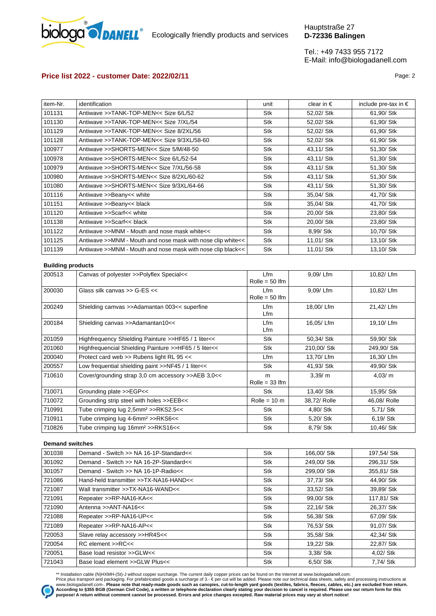

# **Price list 2022 - customer Date: 2022/02/11** Page: 2

| item-Nr. | identification                                              | unit | clear in $\epsilon$ | include pre-tax in $\epsilon$ |
|----------|-------------------------------------------------------------|------|---------------------|-------------------------------|
| 101131   | Antiwave >>TANK-TOP-MEN<< Size 6/L/52                       | Stk  | 52,02/ Stk          | 61,90/ Stk                    |
| 101130   | Antiwave >>TANK-TOP-MEN<< Size 7/XL/54                      | Stk  | 52,02/ Stk          | 61,90/ Stk                    |
| 101129   | Antiwave >>TANK-TOP-MEN<< Size 8/2XL/56                     | Stk  | 52,02/ Stk          | 61,90/ Stk                    |
| 101128   | Antiwaye >>TANK-TOP-MEN<< Size 9/3XL/58-60                  | Stk  | 52,02/ Stk          | 61,90/ Stk                    |
| 100977   | Antiwave >>SHORTS-MEN<< Size 5/M/48-50                      | Stk  | 43,11/ Stk          | 51,30/ Stk                    |
| 100978   | Antiwave >>SHORTS-MEN<< Size 6/L/52-54                      | Stk  | 43,11/ Stk          | 51,30/ Stk                    |
| 100979   | Antiwave >>SHORTS-MEN<< Size 7/XL/56-58                     | Stk  | 43,11/ Stk          | 51,30/ Stk                    |
| 100980   | Antiwave >>SHORTS-MEN<< Size 8/2XL/60-62                    | Stk  | 43,11/ Stk          | 51,30/ Stk                    |
| 101080   | Antiwave >>SHORTS-MEN<< Size 9/3XL/64-66                    | Stk  | 43,11/ Stk          | 51,30/ Stk                    |
| 101116   | Antiwave >>Beany<< white                                    | Stk  | 35,04/ Stk          | 41,70/ Stk                    |
| 101151   | Antiwave >>Beany<< black                                    | Stk  | 35,04/ Stk          | 41,70/ Stk                    |
| 101120   | Antiwave >>Scarf<< white                                    | Stk  | 20,00/ Stk          | 23,80/ Stk                    |
| 101138   | Antiwave >>Scarf<< black                                    | Stk  | 20,00/ Stk          | 23,80/ Stk                    |
| 101122   | Antiwave >>MNM - Mouth and nose mask white<<                | Stk  | 8,99/ Stk           | 10,70/ Stk                    |
| 101125   | Antiwave >>MNM - Mouth and nose mask with nose clip white<< | Stk  | 11,01/ Stk          | 13,10/ Stk                    |
| 101139   | Antiwave >>MNM - Mouth and nose mask with nose clip black<< | Stk  | 11,01/ Stk          | 13,10/ Stk                    |
|          |                                                             |      |                     |                               |

### **Building products**

| 200513 | Canvas of polyester >>Polyflex Special<<              | Lfm<br>Rolle = $50 \text{ }$     | 9,09/Lfm     | 10,82/ Lfm   |
|--------|-------------------------------------------------------|----------------------------------|--------------|--------------|
| 200030 | Glass silk canvas >> G-ES <<                          | Lfm<br>Rolle = $50 \text{ }$ Ifm | 9.09/Lfm     | 10.82/Lfm    |
| 200249 | Shielding camvas >>Adamantan 003<< superfine          | Lfm<br>Lfm                       | 18,00/Lfm    | 21,42/Lfm    |
| 200184 | Shielding canvas >>Adamantan10<<                      | Lfm<br>Lfm                       | 16,05/Lfm    | 19,10/Lfm    |
| 201059 | Highfrequency Shielding Painture >>HF65 / 1 liter<<   | <b>Stk</b>                       | 50,34/ Stk   | 59,90/ Stk   |
| 201060 | Highfrequencial Shielding Painture >>HF65 / 5 liter<< | <b>Stk</b>                       | 210,00/ Stk  | 249,90/ Stk  |
| 200040 | Protect card web >> Rubens light RL 95 <<             | Lfm                              | 13,70/Lfm    | 16,30/Lfm    |
| 200557 | Low frequential shielding paint >>NF45 / 1 liter<<    | Stk                              | 41,93/ Stk   | 49,90/ Stk   |
| 710610 | Cover/grounding strap 3,0 cm accessory >>AEB 3,0<<    | m<br>Rolle = $33 \text{ lfm}$    | 3,39/m       | 4,03/m       |
| 710071 | Grounding plate >>EGP<<                               | <b>Stk</b>                       | 13.40/ Stk   | 15.95/ Stk   |
| 710072 | Grounding strip steel with holes >>EEB<<              | Rolle = $10 \text{ m}$           | 38,72/ Rolle | 46,08/ Rolle |
| 710991 | Tube crimping lug 2,5mm <sup>2</sup> >>RKS2.5<<       | Stk                              | 4,80/ Stk    | 5,71/ Stk    |
| 710911 | Tube crimping lug 4-6mm <sup>2</sup> >>RKS6<<         | <b>Stk</b>                       | 5,20/ Stk    | 6,19/ Stk    |
| 710826 | Tube crimping lug 16mm <sup>2</sup> >>RKS16<<         | Stk                              | 8,79/ Stk    | 10,46/ Stk   |
|        |                                                       |                                  |              |              |

### **Demand switches**

| 301038 | Demand - Switch >> NA 16-1P-Standard<< | <b>Stk</b> | 166.00/ Stk | 197,54/ Stk |
|--------|----------------------------------------|------------|-------------|-------------|
| 301092 | Demand - Switch >> NA 16-2P-Standard<< | <b>Stk</b> | 249.00/ Stk | 296.31/ Stk |
| 301057 | Demand - Switch >> NA 16-1P-Radio<<    | <b>Stk</b> | 299,00/ Stk | 355,81/ Stk |
| 721086 | Hand-held transmitter >>TX-NA16-HAND<< | <b>Stk</b> | 37,73/ Stk  | 44.90/ Stk  |
| 721087 | Wall transmitter >>TX-NA16-WAND<<      | Stk        | 33,52/ Stk  | 39,89/ Stk  |
| 721091 | Repeater >>RP-NA16-KA<<                | <b>Stk</b> | 99,00/ Stk  | 117,81/ Stk |
| 721090 | Antenna >>ANT-NA16<<                   | <b>Stk</b> | 22,16/ Stk  | 26,37/ Stk  |
| 721088 | Repeater >>RP-NA16-UP<<                | <b>Stk</b> | 56,38/ Stk  | 67,09/ Stk  |
| 721089 | Repeater >>RP-NA16-AP<<                | <b>Stk</b> | 76,53/ Stk  | 91.07/ Stk  |
| 720053 | Slave relay accessory >>HR4S<<         | <b>Stk</b> | 35,58/ Stk  | 42.34/ Stk  |
| 720054 | RC element >>RC<<                      | <b>Stk</b> | 19,22/ Stk  | 22,87/ Stk  |
| 720051 | Base load resistor >>GLW<<             | <b>Stk</b> | 3,38/ Stk   | 4,02/ Stk   |
| 721043 | Base load element >>GLW Plus<<         | <b>Stk</b> | 6,50/ Stk   | 7,74/ Stk   |

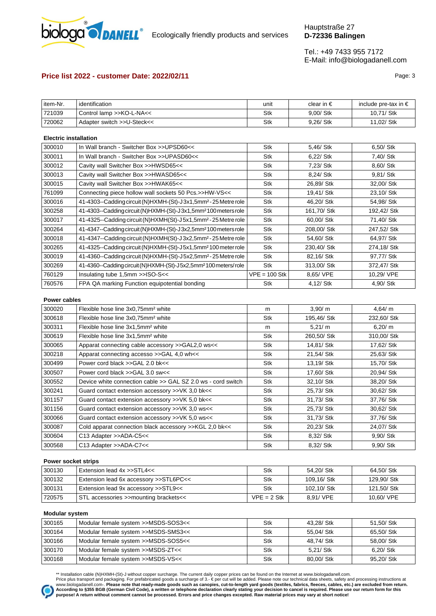

# **Price list 2022 - customer Date: 2022/02/11 Page: 3 Page: 3**

| item-Nr. | $\cdots$<br>identification  | unit | clear in $\epsilon$ | include pre-tax in € |
|----------|-----------------------------|------|---------------------|----------------------|
| 721039   | >>KO-L-NA<<<br>Control lamp | Stk  | 9,00/ Stk           | 10,71/ Stk           |
| 720062   | Adapter switch >>U-Steck<<  | Stk  | 9,26/ Stk           | 11,02/ Stk           |

### **Electric installation**

| 300010 | In Wall branch - Switcher Box >>UPSD60<<                                     | Stk           | 5,46/ Stk   | 6,50/ Stk   |
|--------|------------------------------------------------------------------------------|---------------|-------------|-------------|
| 300011 | In Wall branch - Switcher Box >>UPASD60<<                                    | Stk           | 6,22/ Stk   | 7,40/ Stk   |
| 300012 | Cavity wall Switcher Box >>HWSD65<<                                          | Stk           | 7,23/ Stk   | 8,60/ Stk   |
| 300013 | Cavity wall Switcher Box >>HWASD65<<                                         | Stk           | 8,24/ Stk   | 9,81/ Stk   |
| 300015 | Cavity wall Switcher Box >>HWAK65<<                                          | Stk           | 26,89/ Stk  | 32,00/ Stk  |
| 761099 | Connecting piece hollow wall sockets 50 Pcs.>>HW-VS<<                        | Stk           | 19,41/ Stk  | 23,10/ Stk  |
| 300016 | 41-4303--Cadding circuit (N)HXMH-(St)-J3x1,5mm <sup>2</sup> -25 Metre role   | <b>Stk</b>    | 46,20/ Stk  | 54,98/ Stk  |
| 300258 | 41-4303--Cadding circuit (N) HXMH-(St)-J3x1,5mm <sup>2</sup> 100 meters role | Stk           | 161,70/ Stk | 192,42/ Stk |
| 300017 | 41-4325--Cadding circuit (N)HXMH(St)-J5x1,5mm <sup>2</sup> -25 Metre role    | <b>Stk</b>    | 60,00/ Stk  | 71,40/ Stk  |
| 300264 | 41-4347--Cadding circuit (N)HXMH-(St)-J3x2,5mm <sup>2</sup> 100 meters role  | Stk           | 208,00/ Stk | 247,52/ Stk |
| 300018 | 41-4347--Cadding circuit (N)HXMH(St)-J3x2,5mm <sup>2</sup> -25 Metre role    | <b>Stk</b>    | 54,60/ Stk  | 64,97/ Stk  |
| 300265 | 41-4325-Cadding circuit (N)HXMH-(St)-J5x1,5mm <sup>2</sup> 100 meter role    | Stk           | 230,40/ Stk | 274,18/Stk  |
| 300019 | 41-4360--Cadding circuit (N)HXMH-(St)-J5x2,5mm <sup>2</sup> -25 Metre role   | <b>Stk</b>    | 82,16/ Stk  | 97,77/ Stk  |
| 300269 | 41-4360--Cadding circuit (N)HXMH-(St)-J5x2,5mm <sup>2</sup> 100 meters/role  | Stk           | 313,00/ Stk | 372,47/ Stk |
| 760129 | Insulating tube 1,5mm >>ISO-S<<                                              | VPE = 100 Stk | 8,65/ VPE   | 10,29/ VPE  |
| 760576 | FPA QA marking Function equipotential bonding                                | Stk           | 4,12/ Stk   | 4,90/ Stk   |
|        |                                                                              |               |             |             |

#### **Power cables**

| 300020 | Flexible hose line 3x0,75mm <sup>2</sup> white               | m          | 3.90/m      | 4.64/ $m$   |
|--------|--------------------------------------------------------------|------------|-------------|-------------|
| 300618 | Flexible hose line 3x0,75mm <sup>2</sup> white               | <b>Stk</b> | 195,46/ Stk | 232,60/ Stk |
| 300311 | Flexible hose line 3x1,5mm <sup>2</sup> white                | m          | 5,21/m      | 6,20/m      |
| 300619 | Flexible hose line 3x1,5mm <sup>2</sup> white                | Stk        | 260,50/ Stk | 310,00/ Stk |
| 300065 | Apparat connecting cable accessory >>GAL2,0 ws<<             | <b>Stk</b> | 14,81/ Stk  | 17,62/ Stk  |
| 300218 | Apparat connecting accesso >>GAL 4,0 wh<<                    | Stk        | 21,54/ Stk  | 25,63/ Stk  |
| 300499 | Power cord black >>GAL 2.0 bk<<                              | Stk        | 13,19/ Stk  | 15,70/ Stk  |
| 300507 | Power cord black >>GAL 3.0 sw<<                              | <b>Stk</b> | 17,60/ Stk  | 20,94/ Stk  |
| 300552 | Device white connection cable >> GAL SZ 2.0 ws - cord switch | Stk        | 32,10/ Stk  | 38,20/ Stk  |
| 300241 | Guard contact extension accessory >>VK 3,0 bk<<              | <b>Stk</b> | 25,73/ Stk  | 30,62/ Stk  |
| 301157 | Guard contact extension accessory >>VK 5,0 bk<<              | <b>Stk</b> | 31,73/ Stk  | 37,76/ Stk  |
| 301156 | Guard contact extension accessory >>VK 3,0 ws<<              | Stk        | 25,73/ Stk  | 30,62/ Stk  |
| 300066 | Guard contact extension accessory >>VK 5,0 ws<<              | Stk        | 31,73/ Stk  | 37,76/ Stk  |
| 300087 | Cold apparat connection black accessory >>KGL 2,0 bk<<       | Stk        | 20,23/ Stk  | 24,07/ Stk  |
| 300604 | C13 Adapter >>ADA-C5<<                                       | Stk        | 8,32/ Stk   | 9,90/ Stk   |
| 300568 | C13 Adapter >>ADA-C7<<                                       | Stk        | 8,32/ Stk   | 9,90/ Stk   |

#### **Power socket strips**

| 300130 | Extension lead 4x >>STL4<<             | Stk           | 54.20/ Stk  | 64.50/ Stk  |
|--------|----------------------------------------|---------------|-------------|-------------|
| 300132 | Extension lead 6x accessory >>STL6PC<< | Stk           | 109.16/ Stk | 129.90/ Stk |
| 300131 | Extension lead 9x accessory >>STL9<<   | Stk           | 102.10/ Stk | 121.50/ Stk |
| 720575 | STL accessories >>mounting brackets<<  | $VPE = 2$ Stk | 8.91/ VPE   | 10.60/ VPE  |

### **Modular system**

| 300165 | Modular female system >>MSDS-SOS3<< | Stk | 43.28/ Stk | 51.50/ Stk |
|--------|-------------------------------------|-----|------------|------------|
| 300164 | Modular female system >>MSDS-SMS3<< | Stk | 55.04/ Stk | 65.50/ Stk |
| 300166 | Modular female system >>MSDS-SOS5<< | Stk | 48.74/ Stk | 58.00/ Stk |
| 300170 | Modular female system >>MSDS-ZT<<   | Stk | 5.21/ Stk  | 6.20/ Stk  |
| 300168 | Modular female system >>MSDS-VS<<   | Stk | 80.00/ Stk | 95.20/ Stk |

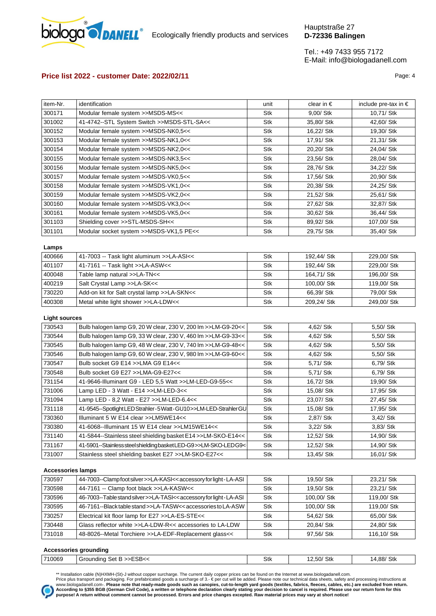

# **Price list 2022 - customer Date: 2022/02/11** Page: 4

| item-Nr. | identification                             | unit       | clear in $\epsilon$ | include pre-tax in $\epsilon$ |
|----------|--------------------------------------------|------------|---------------------|-------------------------------|
| 300171   | Modular female system >>MSDS-MS<<          | Stk        | 9,00/ Stk           | 10,71/ Stk                    |
| 301002   | 41-4742--STL System Switch >>MSDS-STL-SA<< | Stk        | 35,80/ Stk          | 42.60/ Stk                    |
| 300152   | Modular female system >>MSDS-NK0,5<<       | Stk        | 16,22/ Stk          | 19,30/ Stk                    |
| 300153   | Modular female system >>MSDS-NK1,0<<       | Stk        | 17,91/ Stk          | 21,31/ Stk                    |
| 300154   | Modular female system >>MSDS-NK2,0<<       | Stk        | 20,20/ Stk          | 24,04/ Stk                    |
| 300155   | Modular female system >>MSDS-NK3,5<<       | Stk        | 23,56/ Stk          | 28,04/ Stk                    |
| 300156   | Modular female system >>MSDS-NK5,0<<       | Stk        | 28,76/ Stk          | 34,22/ Stk                    |
| 300157   | Modular female system >>MSDS-VK0,5<<       | Stk        | 17,56/ Stk          | 20,90/ Stk                    |
| 300158   | Modular female system >>MSDS-VK1,0<<       | <b>Stk</b> | 20,38/ Stk          | 24,25/ Stk                    |
| 300159   | Modular female system >>MSDS-VK2,0<<       | Stk        | 21,52/ Stk          | 25,61/ Stk                    |
| 300160   | Modular female system >>MSDS-VK3,0<<       | Stk        | 27,62/ Stk          | 32,87/ Stk                    |
| 300161   | Modular female system >>MSDS-VK5,0<<       | Stk        | 30,62/ Stk          | 36,44/ Stk                    |
| 301103   | Shielding cover >>STL-MSDS-SH<<            | Stk        | 89,92/ Stk          | 107,00/ Stk                   |
| 301101   | Modular socket system >>MSDS-VK1,5 PE<<    | Stk        | 29,75/ Stk          | 35,40/ Stk                    |

#### **Lamps**

| 400666 | 41-7003 -- Task light aluminum >>LA-ASI<<   | Stk | 192.44/ Stk | 229.00/ Stk |
|--------|---------------------------------------------|-----|-------------|-------------|
| 401107 | 41-7161 -- Task light >>LA-ASW<<            | Stk | 192.44/ Stk | 229.00/ Stk |
| 400048 | Table lamp natural >>LA-TN<<                | Stk | 164.71/ Stk | 196.00/ Stk |
| 400219 | Salt Crystal Lamp >>LA-SK<<                 | Stk | 100.00/ Stk | 119.00/ Stk |
| 730220 | Add-on kit for Salt crystal lamp >>LA-SKN<< | Stk | 66.39/ Stk  | 79.00/ Stk  |
| 400308 | Metal white light shower >>LA-LDW<<         | Stk | 209.24/ Stk | 249.00/ Stk |

## **Light sources**

| 730543 | Bulb halogen lamp G9, 20 W clear, 230 V, 200 lm >>LM-G9-20<<    | Stk | 4,62/ Stk  | 5,50/ Stk  |
|--------|-----------------------------------------------------------------|-----|------------|------------|
| 730544 | Bulb halogen lamp G9, 33 W clear, 230 V, 460 lm >>LM-G9-33<<    | Stk | 4,62/ Stk  | 5,50/ Stk  |
| 730545 | Bulb halogen lamp G9, 48 W clear, 230 V, 740 lm >>LM-G9-48<<    | Stk | 4,62/ Stk  | 5,50/ Stk  |
| 730546 | Bulb halogen lamp G9, 60 W clear, 230 V, 980 lm >>LM-G9-60<<    | Stk | 4,62/ Stk  | 5,50/ Stk  |
| 730547 | Bulb socket G9 E14 >>LMA G9 E14<<                               | Stk | 5,71/ Stk  | 6,79/ Stk  |
| 730548 | Bulb socket G9 E27 >>LMA-G9-E27<<                               | Stk | 5,71/ Stk  | 6,79/ Stk  |
| 731154 | 41-9646-Illuminant G9 - LED 5.5 Watt >>LM-LED-G9-55<<           | Stk | 16,72/ Stk | 19,90/ Stk |
| 731006 | Lamp LED - 3 Watt - E14 >>LM-LED-3<<                            | Stk | 15,08/ Stk | 17,95/ Stk |
| 731094 | Lamp LED - 8,2 Watt - E27 >>LM-LED-6.4<<                        | Stk | 23,07/ Stk | 27,45/ Stk |
| 731118 | 41-9545-Spotlight LED Strahler-5 Watt-GU10>>LM-LED-Strahler GU  | Stk | 15,08/ Stk | 17,95/ Stk |
| 730360 | Illuminant 5 W E14 clear >>LM5WE14<<                            | Stk | 2,87/ Stk  | 3,42/ Stk  |
| 730380 | 41-6068--Illuminant 15 W E14 clear >>LM15WE14<<                 | Stk | 3,22/ Stk  | 3,83/ Stk  |
| 731140 | 41-5844--Stainless steel shielding basket E14 >>LM-SKO-E14<<    | Stk | 12,52/ Stk | 14,90/ Stk |
| 731167 | 41-5901--Stainless steel shielding basket LED-G9>>LM-SKO-LEDG9< | Stk | 12,52/ Stk | 14,90/ Stk |
| 731007 | Stainless steel shielding basket E27 >>LM-SKO-E27<<             | Stk | 13,45/ Stk | 16,01/ Stk |
|        |                                                                 |     |            |            |

## **Accessories lamps**

| 730597 | 44-7003--Clamp foot silver >>LA-KASI<< accessory for light - LA-ASI                                                                                      | Stk | 19.50/ Stk  | 23.21/ Stk  |
|--------|----------------------------------------------------------------------------------------------------------------------------------------------------------|-----|-------------|-------------|
| 730598 | 44-7161 -- Clamp foot black >>LA-KASW<<                                                                                                                  | Stk | 19.50/ Stk  | 23.21/ Stk  |
| 730596 | 46-7003--Table stand silver >>LA-TASI< <accessory -="" for="" la-asi<="" light="" td=""><td>Stk</td><td>100.00/ Stk</td><td>119.00/ Stk</td></accessory> | Stk | 100.00/ Stk | 119.00/ Stk |
| 730595 | 46-7161--Black table stand >>LA-TASW<< accessories to LA-ASW                                                                                             | Stk | 100.00/ Stk | 119.00/ Stk |
| 730257 | Electrical kit floor lamp for E27 >>LA-ES-STE<<                                                                                                          | Stk | 54.62/ Stk  | 65.00/ Stk  |
| 730448 | Glass reflector white >>LA-LDW-R<< accessories to LA-LDW                                                                                                 | Stk | 20.84/ Stk  | 24.80/ Stk  |
| 731018 | 48-8026--Metal Torchiere >>LA-EDF-Replacement glass<<                                                                                                    | Stk | 97.56/ Stk  | 116.10/ Stk |
|        |                                                                                                                                                          |     |             |             |

#### **Accessories grounding**

| .      |                         |     |            |            |
|--------|-------------------------|-----|------------|------------|
| 710069 | Grounding Set B >>ESB<< | Stk | 12,50/ Stk | 14,88/ Stk |